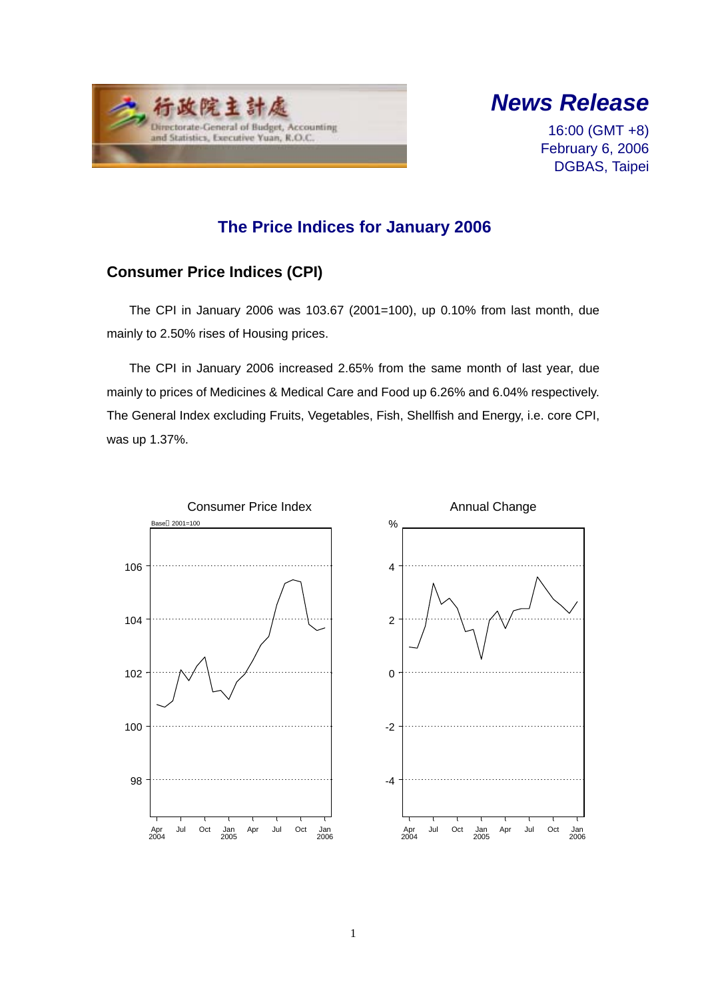



16:00 (GMT +8) February 6, 2006 DGBAS, Taipei

### **The Price Indices for January 2006**

# **Consumer Price Indices (CPI)**

The CPI in January 2006 was 103.67 (2001=100), up 0.10% from last month, due mainly to 2.50% rises of Housing prices.

The CPI in January 2006 increased 2.65% from the same month of last year, due mainly to prices of Medicines & Medical Care and Food up 6.26% and 6.04% respectively. The General Index excluding Fruits, Vegetables, Fish, Shellfish and Energy, i.e. core CPI, was up 1.37%.

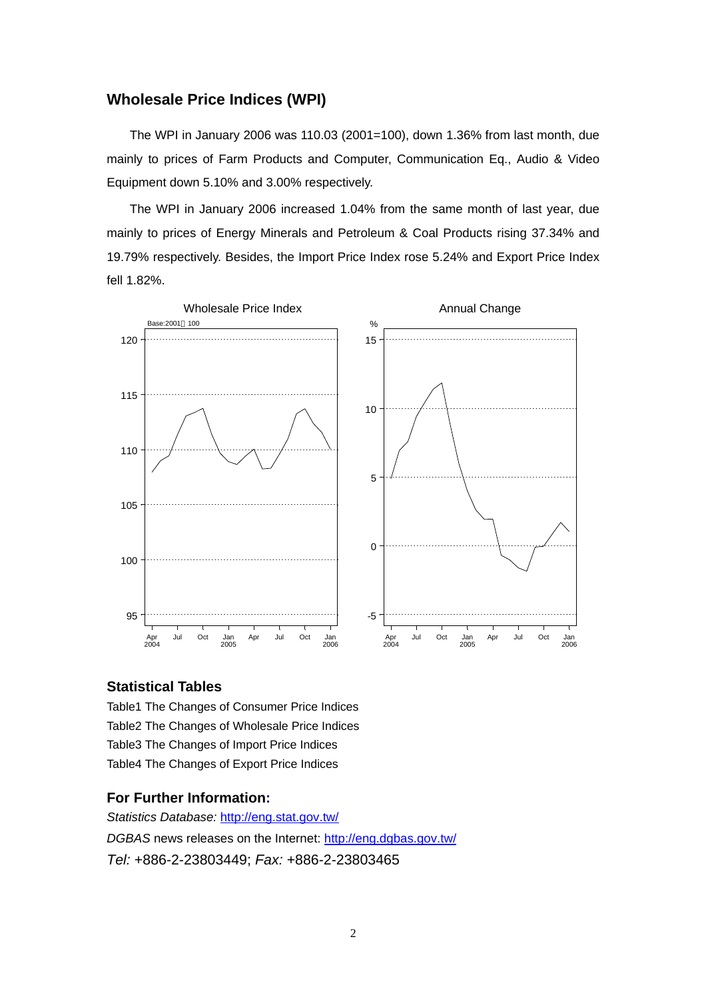#### **Wholesale Price Indices (WPI)**

The WPI in January 2006 was 110.03 (2001=100), down 1.36% from last month, due mainly to prices of Farm Products and Computer, Communication Eq., Audio & Video Equipment down 5.10% and 3.00% respectively.

The WPI in January 2006 increased 1.04% from the same month of last year, due mainly to prices of Energy Minerals and Petroleum & Coal Products rising 37.34% and 19.79% respectively. Besides, the Import Price Index rose 5.24% and Export Price Index fell 1.82%.



#### **Statistical Tables**

Table1 The Changes of Consumer Price Indices Table2 The Changes of Wholesale Price Indices Table3 The Changes of Import Price Indices Table4 The Changes of Export Price Indices

#### **For Further Information:**

*Statistics Database:* http://eng.stat.gov.tw/ *DGBAS* news releases on the Internet: http://eng.dgbas.gov.tw/ *Tel:* +886-2-23803449; *Fax:* +886-2-23803465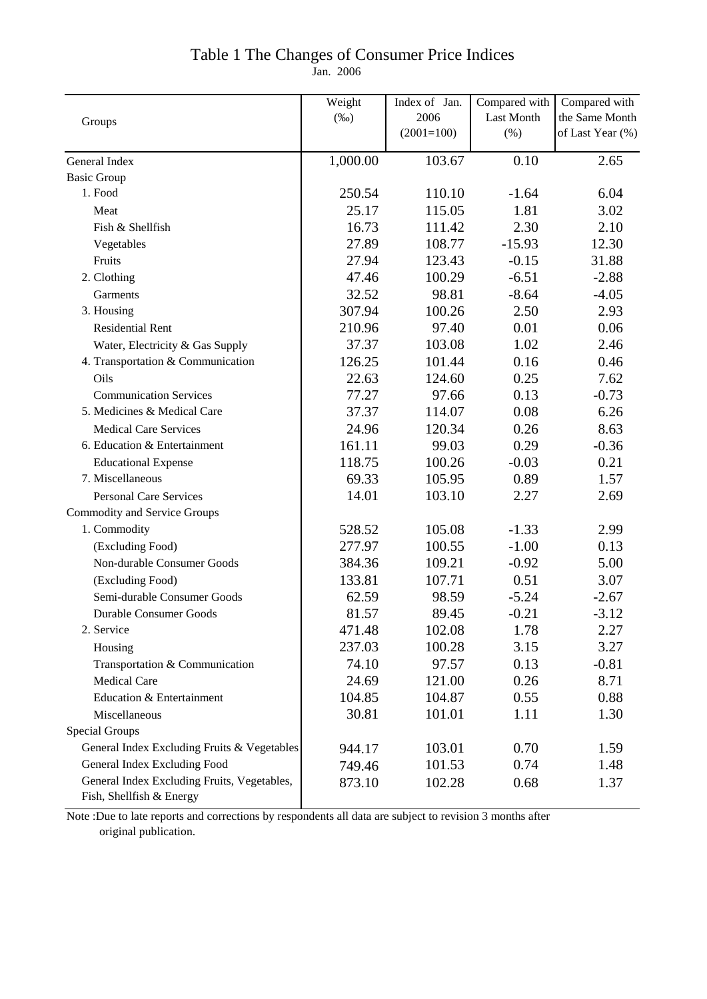### Table 1 The Changes of Consumer Price Indices

Jan. 2006

|                                                                         | Weight   | Index of Jan. | Compared with | Compared with    |
|-------------------------------------------------------------------------|----------|---------------|---------------|------------------|
| Groups                                                                  | $(\%0)$  | 2006          | Last Month    | the Same Month   |
|                                                                         |          | $(2001=100)$  | $(\% )$       | of Last Year (%) |
| General Index                                                           | 1,000.00 | 103.67        | 0.10          | 2.65             |
| <b>Basic Group</b>                                                      |          |               |               |                  |
| 1. Food                                                                 | 250.54   | 110.10        | $-1.64$       | 6.04             |
| Meat                                                                    | 25.17    | 115.05        | 1.81          | 3.02             |
| Fish & Shellfish                                                        | 16.73    | 111.42        | 2.30          | 2.10             |
| Vegetables                                                              | 27.89    | 108.77        | $-15.93$      | 12.30            |
| Fruits                                                                  | 27.94    | 123.43        | $-0.15$       | 31.88            |
| 2. Clothing                                                             | 47.46    | 100.29        | $-6.51$       | $-2.88$          |
| Garments                                                                | 32.52    | 98.81         | $-8.64$       | $-4.05$          |
| 3. Housing                                                              | 307.94   | 100.26        | 2.50          | 2.93             |
| <b>Residential Rent</b>                                                 | 210.96   | 97.40         | 0.01          | 0.06             |
| Water, Electricity & Gas Supply                                         | 37.37    | 103.08        | 1.02          | 2.46             |
| 4. Transportation & Communication                                       | 126.25   | 101.44        | 0.16          | 0.46             |
| Oils                                                                    | 22.63    | 124.60        | 0.25          | 7.62             |
| <b>Communication Services</b>                                           | 77.27    | 97.66         | 0.13          | $-0.73$          |
| 5. Medicines & Medical Care                                             | 37.37    | 114.07        | 0.08          | 6.26             |
| <b>Medical Care Services</b>                                            | 24.96    | 120.34        | 0.26          | 8.63             |
| 6. Education & Entertainment                                            | 161.11   | 99.03         | 0.29          | $-0.36$          |
| <b>Educational Expense</b>                                              | 118.75   | 100.26        | $-0.03$       | 0.21             |
| 7. Miscellaneous                                                        | 69.33    | 105.95        | 0.89          | 1.57             |
| <b>Personal Care Services</b>                                           | 14.01    | 103.10        | 2.27          | 2.69             |
| <b>Commodity and Service Groups</b>                                     |          |               |               |                  |
| 1. Commodity                                                            | 528.52   | 105.08        | $-1.33$       | 2.99             |
| (Excluding Food)                                                        | 277.97   | 100.55        | $-1.00$       | 0.13             |
| Non-durable Consumer Goods                                              | 384.36   | 109.21        | $-0.92$       | 5.00             |
| (Excluding Food)                                                        | 133.81   | 107.71        | 0.51          | 3.07             |
| Semi-durable Consumer Goods                                             | 62.59    | 98.59         | $-5.24$       | $-2.67$          |
| <b>Durable Consumer Goods</b>                                           | 81.57    | 89.45         | $-0.21$       | $-3.12$          |
| 2. Service                                                              | 471.48   | 102.08        | 1.78          | 2.27             |
| Housing                                                                 | 237.03   | 100.28        | 3.15          | 3.27             |
| Transportation & Communication                                          | 74.10    | 97.57         | 0.13          | $-0.81$          |
| <b>Medical Care</b>                                                     | 24.69    | 121.00        | 0.26          | 8.71             |
| Education & Entertainment                                               | 104.85   | 104.87        | 0.55          | 0.88             |
| Miscellaneous                                                           | 30.81    | 101.01        | 1.11          | 1.30             |
| <b>Special Groups</b>                                                   |          |               |               |                  |
| General Index Excluding Fruits & Vegetables                             | 944.17   | 103.01        | 0.70          | 1.59             |
| General Index Excluding Food                                            | 749.46   | 101.53        | 0.74          | 1.48             |
| General Index Excluding Fruits, Vegetables,<br>Fish, Shellfish & Energy | 873.10   | 102.28        | 0.68          | 1.37             |

Note :Due to late reports and corrections by respondents all data are subject to revision 3 months after original publication.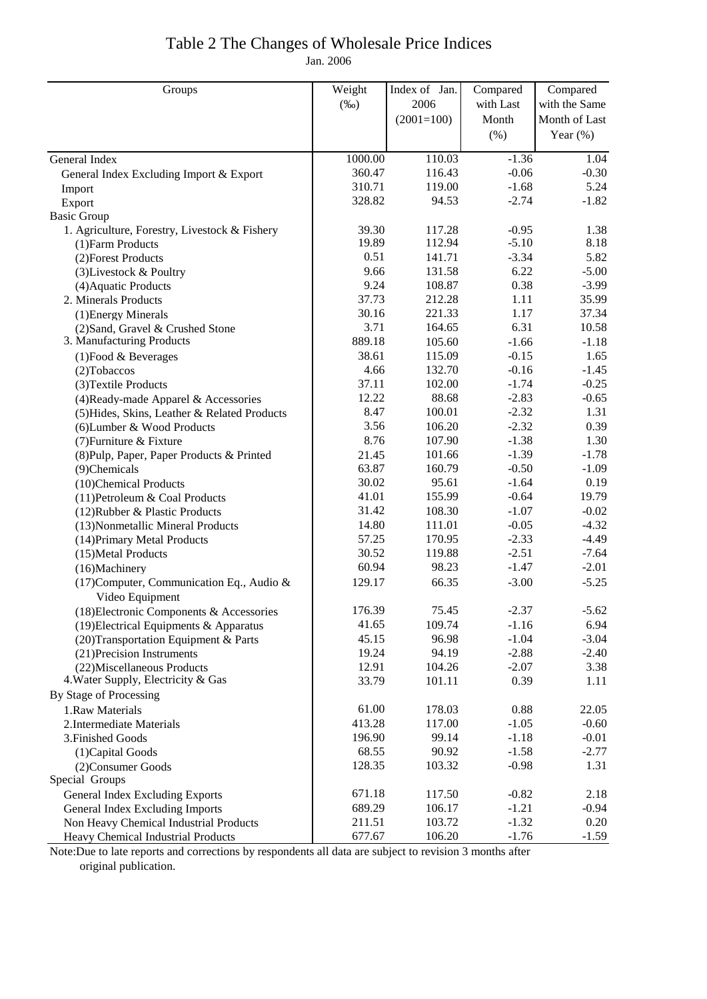### Table 2 The Changes of Wholesale Price Indices

Jan. 2006

| Groups                                                            | Weight         | Index of Jan. | Compared        | Compared      |
|-------------------------------------------------------------------|----------------|---------------|-----------------|---------------|
|                                                                   | $(\%0)$        | 2006          | with Last       | with the Same |
|                                                                   |                | $(2001=100)$  | Month           | Month of Last |
|                                                                   |                |               | (% )            | Year $(\%)$   |
| General Index                                                     | 1000.00        | 110.03        | $-1.36$         | 1.04          |
|                                                                   | 360.47         | 116.43        | $-0.06$         | $-0.30$       |
| General Index Excluding Import & Export                           | 310.71         | 119.00        | $-1.68$         | 5.24          |
| Import<br>Export                                                  | 328.82         | 94.53         | $-2.74$         | $-1.82$       |
| <b>Basic Group</b>                                                |                |               |                 |               |
| 1. Agriculture, Forestry, Livestock & Fishery                     | 39.30          | 117.28        | $-0.95$         | 1.38          |
| (1) Farm Products                                                 | 19.89          | 112.94        | $-5.10$         | 8.18          |
| (2) Forest Products                                               | 0.51           | 141.71        | $-3.34$         | 5.82          |
| (3) Livestock & Poultry                                           | 9.66           | 131.58        | 6.22            | $-5.00$       |
| (4) Aquatic Products                                              | 9.24           | 108.87        | 0.38            | $-3.99$       |
| 2. Minerals Products                                              | 37.73          | 212.28        | 1.11            | 35.99         |
| (1) Energy Minerals                                               | 30.16          | 221.33        | 1.17            | 37.34         |
| (2) Sand, Gravel & Crushed Stone                                  | 3.71           | 164.65        | 6.31            | 10.58         |
| 3. Manufacturing Products                                         | 889.18         | 105.60        | $-1.66$         | $-1.18$       |
| $(1)$ Food & Beverages                                            | 38.61          | 115.09        | $-0.15$         | 1.65          |
| (2) Tobaccos                                                      | 4.66           | 132.70        | $-0.16$         | $-1.45$       |
| (3) Textile Products                                              | 37.11          | 102.00        | $-1.74$         | $-0.25$       |
| (4) Ready-made Apparel & Accessories                              | 12.22          | 88.68         | $-2.83$         | $-0.65$       |
| (5) Hides, Skins, Leather & Related Products                      | 8.47           | 100.01        | $-2.32$         | 1.31          |
| (6) Lumber & Wood Products                                        | 3.56           | 106.20        | $-2.32$         | 0.39          |
| (7) Furniture & Fixture                                           | 8.76           | 107.90        | $-1.38$         | 1.30          |
| (8) Pulp, Paper, Paper Products & Printed                         | 21.45          | 101.66        | $-1.39$         | $-1.78$       |
| (9)Chemicals                                                      | 63.87          | 160.79        | $-0.50$         | $-1.09$       |
| (10)Chemical Products                                             | 30.02          | 95.61         | $-1.64$         | 0.19          |
| (11) Petroleum & Coal Products                                    | 41.01          | 155.99        | $-0.64$         | 19.79         |
| (12) Rubber & Plastic Products                                    | 31.42          | 108.30        | $-1.07$         | $-0.02$       |
| (13) Nonmetallic Mineral Products                                 | 14.80          | 111.01        | $-0.05$         | $-4.32$       |
| (14) Primary Metal Products                                       | 57.25          | 170.95        | $-2.33$         | $-4.49$       |
| (15) Metal Products                                               | 30.52          | 119.88        | $-2.51$         | $-7.64$       |
| (16)Machinery                                                     | 60.94          | 98.23         | $-1.47$         | $-2.01$       |
| (17) Computer, Communication Eq., Audio &                         | 129.17         | 66.35         | $-3.00$         | $-5.25$       |
| Video Equipment                                                   |                |               |                 |               |
| (18) Electronic Components & Accessories                          | 176.39         | 75.45         | $-2.37$         | $-5.62$       |
| $(19)$ Electrical Equipments & Apparatus                          | 41.65          | 109.74        | $-1.16$         | 6.94          |
| (20) Transportation Equipment & Parts                             | 45.15          | 96.98         | $-1.04$         | $-3.04$       |
| (21) Precision Instruments                                        | 19.24<br>12.91 | 94.19         | $-2.88$         | $-2.40$       |
| (22) Miscellaneous Products<br>4. Water Supply, Electricity & Gas | 33.79          | 104.26        | $-2.07$<br>0.39 | 3.38          |
| By Stage of Processing                                            |                | 101.11        |                 | 1.11          |
| 1.Raw Materials                                                   | 61.00          | 178.03        | 0.88            | 22.05         |
| 2. Intermediate Materials                                         | 413.28         | 117.00        | $-1.05$         | $-0.60$       |
| 3. Finished Goods                                                 | 196.90         | 99.14         | $-1.18$         | $-0.01$       |
| (1) Capital Goods                                                 | 68.55          | 90.92         | $-1.58$         | $-2.77$       |
| (2) Consumer Goods                                                | 128.35         | 103.32        | $-0.98$         | 1.31          |
| Special Groups                                                    |                |               |                 |               |
| General Index Excluding Exports                                   | 671.18         | 117.50        | $-0.82$         | 2.18          |
| General Index Excluding Imports                                   | 689.29         | 106.17        | $-1.21$         | $-0.94$       |
| Non Heavy Chemical Industrial Products                            | 211.51         | 103.72        | $-1.32$         | 0.20          |
| Heavy Chemical Industrial Products                                | 677.67         | 106.20        | $-1.76$         | $-1.59$       |

Note:Due to late reports and corrections by respondents all data are subject to revision 3 months after

original publication.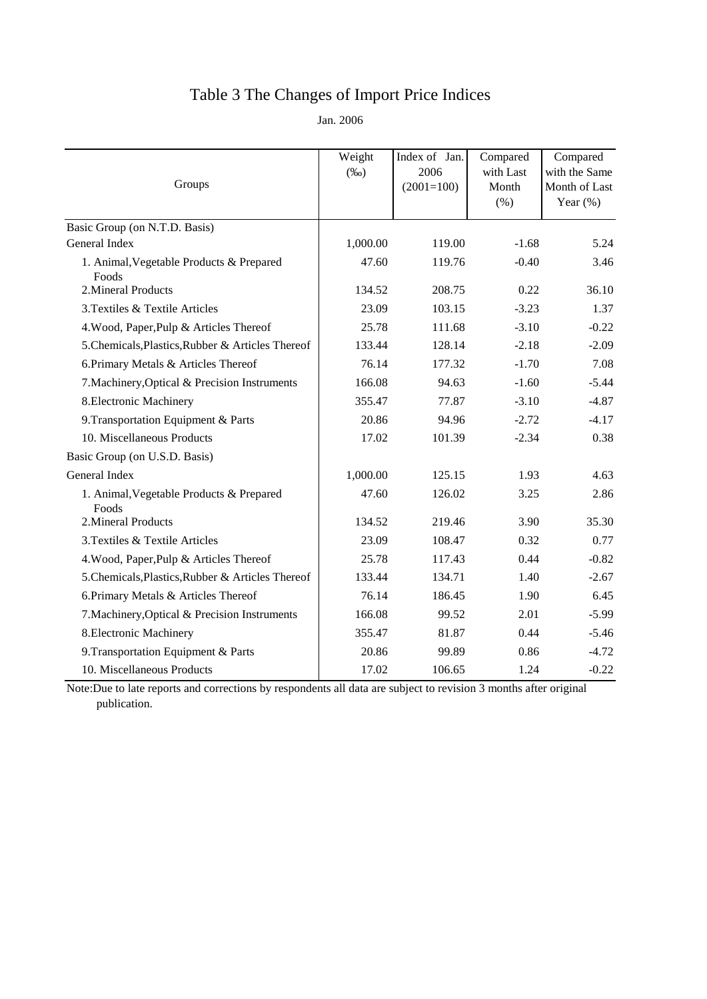# Table 3 The Changes of Import Price Indices

Jan. 2006

| Groups                                            | Weight<br>$(\%0)$ | Index of Jan.<br>2006<br>$(2001=100)$ | Compared<br>with Last<br>Month<br>(% ) | Compared<br>with the Same<br>Month of Last<br>Year $(\%)$ |
|---------------------------------------------------|-------------------|---------------------------------------|----------------------------------------|-----------------------------------------------------------|
| Basic Group (on N.T.D. Basis)                     |                   |                                       |                                        |                                                           |
| General Index                                     | 1,000.00          | 119.00                                | $-1.68$                                | 5.24                                                      |
| 1. Animal, Vegetable Products & Prepared<br>Foods | 47.60             | 119.76                                | $-0.40$                                | 3.46                                                      |
| 2. Mineral Products                               | 134.52            | 208.75                                | 0.22                                   | 36.10                                                     |
| 3. Textiles & Textile Articles                    | 23.09             | 103.15                                | $-3.23$                                | 1.37                                                      |
| 4. Wood, Paper, Pulp & Articles Thereof           | 25.78             | 111.68                                | $-3.10$                                | $-0.22$                                                   |
| 5. Chemicals, Plastics, Rubber & Articles Thereof | 133.44            | 128.14                                | $-2.18$                                | $-2.09$                                                   |
| 6. Primary Metals & Articles Thereof              | 76.14             | 177.32                                | $-1.70$                                | 7.08                                                      |
| 7. Machinery, Optical & Precision Instruments     | 166.08            | 94.63                                 | $-1.60$                                | $-5.44$                                                   |
| 8. Electronic Machinery                           | 355.47            | 77.87                                 | $-3.10$                                | $-4.87$                                                   |
| 9. Transportation Equipment & Parts               | 20.86             | 94.96                                 | $-2.72$                                | $-4.17$                                                   |
| 10. Miscellaneous Products                        | 17.02             | 101.39                                | $-2.34$                                | 0.38                                                      |
| Basic Group (on U.S.D. Basis)                     |                   |                                       |                                        |                                                           |
| General Index                                     | 1,000.00          | 125.15                                | 1.93                                   | 4.63                                                      |
| 1. Animal, Vegetable Products & Prepared<br>Foods | 47.60             | 126.02                                | 3.25                                   | 2.86                                                      |
| 2. Mineral Products                               | 134.52            | 219.46                                | 3.90                                   | 35.30                                                     |
| 3. Textiles & Textile Articles                    | 23.09             | 108.47                                | 0.32                                   | 0.77                                                      |
| 4. Wood, Paper, Pulp & Articles Thereof           | 25.78             | 117.43                                | 0.44                                   | $-0.82$                                                   |
| 5. Chemicals, Plastics, Rubber & Articles Thereof | 133.44            | 134.71                                | 1.40                                   | $-2.67$                                                   |
| 6. Primary Metals & Articles Thereof              | 76.14             | 186.45                                | 1.90                                   | 6.45                                                      |
| 7. Machinery, Optical & Precision Instruments     | 166.08            | 99.52                                 | 2.01                                   | $-5.99$                                                   |
| 8. Electronic Machinery                           | 355.47            | 81.87                                 | 0.44                                   | $-5.46$                                                   |
| 9. Transportation Equipment & Parts               | 20.86             | 99.89                                 | 0.86                                   | $-4.72$                                                   |
| 10. Miscellaneous Products                        | 17.02             | 106.65                                | 1.24                                   | $-0.22$                                                   |

Note:Due to late reports and corrections by respondents all data are subject to revision 3 months after original publication.